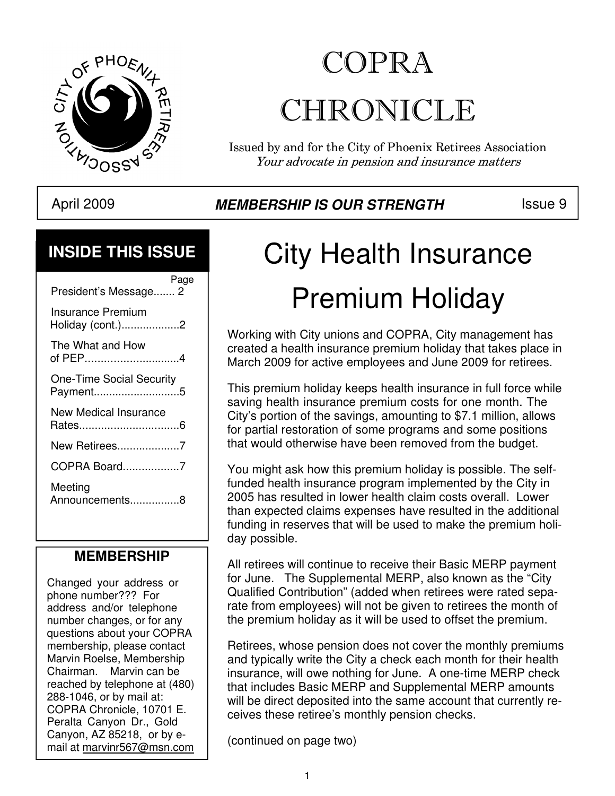

## COPRA CHRONICLE

Issued by and for the City of Phoenix Retirees Association Your advocate in pension and insurance matters

## April 2009 **MEMBERSHIP IS OUR STRENGTH** Issue 9

### **INSIDE THIS ISSUE**

| Page<br>President's Message 2               |
|---------------------------------------------|
| Insurance Premium<br>Holiday (cont.)2       |
| The What and How<br>of PEP4                 |
| <b>One-Time Social Security</b><br>Payment5 |
| New Medical Insurance                       |
| New Retirees7                               |
| COPRA Board7                                |
| Meeting<br>Announcements8                   |

### **MEMBERSHIP**

Changed your address or phone number??? For address and/or telephone number changes, or for any questions about your COPRA membership, please contact Marvin Roelse, Membership Chairman. Marvin can be reached by telephone at (480) 288-1046, or by mail at: COPRA Chronicle, 10701 E. Peralta Canyon Dr., Gold Canyon, AZ 85218, or by email at marvinr567@msn.com

# City Health Insurance Premium Holiday

Working with City unions and COPRA, City management has created a health insurance premium holiday that takes place in March 2009 for active employees and June 2009 for retirees.

This premium holiday keeps health insurance in full force while saving health insurance premium costs for one month. The City's portion of the savings, amounting to \$7.1 million, allows for partial restoration of some programs and some positions that would otherwise have been removed from the budget.

You might ask how this premium holiday is possible. The selffunded health insurance program implemented by the City in 2005 has resulted in lower health claim costs overall. Lower than expected claims expenses have resulted in the additional funding in reserves that will be used to make the premium holiday possible.

All retirees will continue to receive their Basic MERP payment for June. The Supplemental MERP, also known as the "City Qualified Contribution" (added when retirees were rated separate from employees) will not be given to retirees the month of the premium holiday as it will be used to offset the premium.

Retirees, whose pension does not cover the monthly premiums and typically write the City a check each month for their health insurance, will owe nothing for June. A one-time MERP check that includes Basic MERP and Supplemental MERP amounts will be direct deposited into the same account that currently receives these retiree's monthly pension checks.

(continued on page two)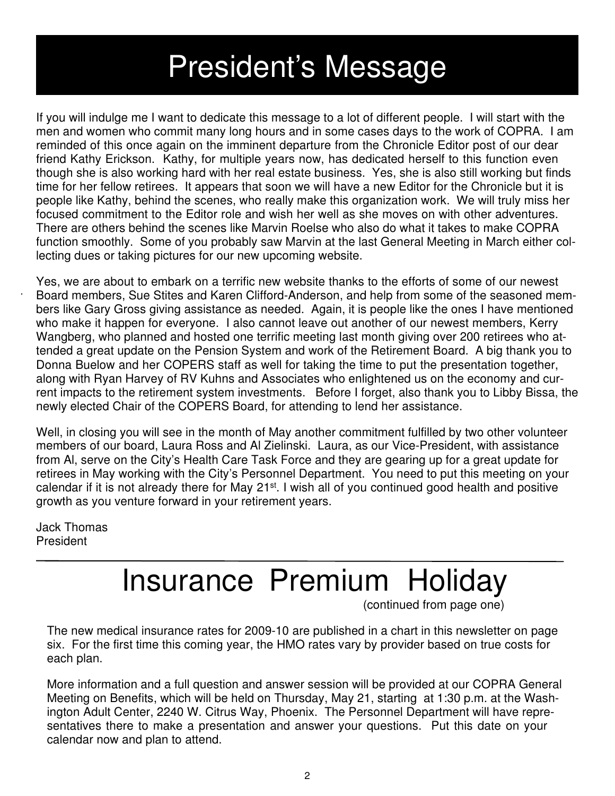## President's Message

If you will indulge me I want to dedicate this message to a lot of different people. I will start with the men and women who commit many long hours and in some cases days to the work of COPRA. I am reminded of this once again on the imminent departure from the Chronicle Editor post of our dear friend Kathy Erickson. Kathy, for multiple years now, has dedicated herself to this function even though she is also working hard with her real estate business. Yes, she is also still working but finds time for her fellow retirees. It appears that soon we will have a new Editor for the Chronicle but it is people like Kathy, behind the scenes, who really make this organization work. We will truly miss her focused commitment to the Editor role and wish her well as she moves on with other adventures. There are others behind the scenes like Marvin Roelse who also do what it takes to make COPRA function smoothly. Some of you probably saw Marvin at the last General Meeting in March either collecting dues or taking pictures for our new upcoming website.

Yes, we are about to embark on a terrific new website thanks to the efforts of some of our newest Board members, Sue Stites and Karen Clifford-Anderson, and help from some of the seasoned members like Gary Gross giving assistance as needed. Again, it is people like the ones I have mentioned who make it happen for everyone. I also cannot leave out another of our newest members, Kerry Wangberg, who planned and hosted one terrific meeting last month giving over 200 retirees who attended a great update on the Pension System and work of the Retirement Board. A big thank you to Donna Buelow and her COPERS staff as well for taking the time to put the presentation together, along with Ryan Harvey of RV Kuhns and Associates who enlightened us on the economy and current impacts to the retirement system investments. Before I forget, also thank you to Libby Bissa, the newly elected Chair of the COPERS Board, for attending to lend her assistance.

Well, in closing you will see in the month of May another commitment fulfilled by two other volunteer members of our board, Laura Ross and Al Zielinski. Laura, as our Vice-President, with assistance from Al, serve on the City's Health Care Task Force and they are gearing up for a great update for retirees in May working with the City's Personnel Department. You need to put this meeting on your calendar if it is not already there for May 21<sup>st</sup>. I wish all of you continued good health and positive growth as you venture forward in your retirement years.

Jack Thomas President

## Insurance Premium Holiday

(continued from page one)

The new medical insurance rates for 2009-10 are published in a chart in this newsletter on page six. For the first time this coming year, the HMO rates vary by provider based on true costs for each plan.

More information and a full question and answer session will be provided at our COPRA General Meeting on Benefits, which will be held on Thursday, May 21, starting at 1:30 p.m. at the Washington Adult Center, 2240 W. Citrus Way, Phoenix. The Personnel Department will have representatives there to make a presentation and answer your questions. Put this date on your calendar now and plan to attend.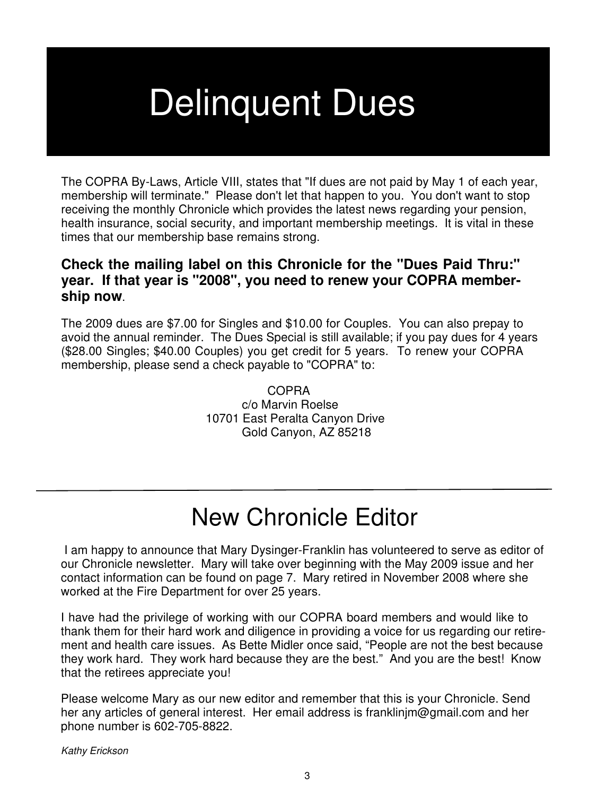## **Delinquent Dues**

The COPRA By-Laws, Article VIII, states that "If dues are not paid by May 1 of each year, membership will terminate." Please don't let that happen to you. You don't want to stop receiving the monthly Chronicle which provides the latest news regarding your pension, health insurance, social security, and important membership meetings. It is vital in these times that our membership base remains strong.

#### **Check the mailing label on this Chronicle for the "Dues Paid Thru:" year. If that year is "2008", you need to renew your COPRA membership now**.

The 2009 dues are \$7.00 for Singles and \$10.00 for Couples. You can also prepay to avoid the annual reminder. The Dues Special is still available; if you pay dues for 4 years (\$28.00 Singles; \$40.00 Couples) you get credit for 5 years. To renew your COPRA membership, please send a check payable to "COPRA" to:

> COPRA c/o Marvin Roelse 10701 East Peralta Canyon Drive Gold Canyon, AZ 85218

## New Chronicle Editor

 I am happy to announce that Mary Dysinger-Franklin has volunteered to serve as editor of our Chronicle newsletter. Mary will take over beginning with the May 2009 issue and her contact information can be found on page 7. Mary retired in November 2008 where she worked at the Fire Department for over 25 years.

ment and health care issues. As Bette Midler once said, "People are not the best because<br>they work hard. They work hard because they are the best." And you are the best. Know I have had the privilege of working with our COPRA board members and would like to thank them for their hard work and diligence in providing a voice for us regarding our retirethey work hard. They work hard because they are the best." And you are the best! Know that the retirees appreciate you!

Please welcome Mary as our new editor and remember that this is your Chronicle. Send her any articles of general interest. Her email address is franklinjm@gmail.com and her phone number is 602-705-8822.

Kathy Erickson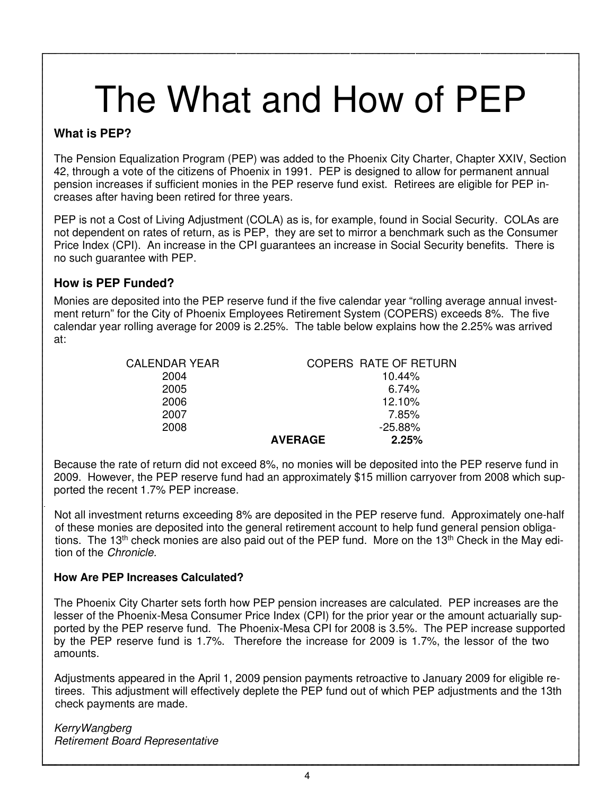## The What and How of PEP

#### **What is PEP?**

The Pension Equalization Program (PEP) was added to the Phoenix City Charter, Chapter XXIV, Section 42, through a vote of the citizens of Phoenix in 1991. PEP is designed to allow for permanent annual pension increases if sufficient monies in the PEP reserve fund exist. Retirees are eligible for PEP increases after having been retired for three years.

PEP is not a Cost of Living Adjustment (COLA) as is, for example, found in Social Security. COLAs are not dependent on rates of return, as is PEP, they are set to mirror a benchmark such as the Consumer Price Index (CPI). An increase in the CPI guarantees an increase in Social Security benefits. There is no such guarantee with PEP.

#### **How is PEP Funded?**

Monies are deposited into the PEP reserve fund if the five calendar year "rolling average annual investment return" for the City of Phoenix Employees Retirement System (COPERS) exceeds 8%. The five calendar year rolling average for 2009 is 2.25%. The table below explains how the 2.25% was arrived at:

| <b>CALENDAR YEAR</b> |                | COPERS RATE OF RETURN |
|----------------------|----------------|-----------------------|
| 2004                 |                | 10.44%                |
| 2005                 |                | 6.74%                 |
| 2006                 |                | 12.10%                |
| 2007                 |                | 7.85%                 |
| 2008                 |                | $-25.88%$             |
|                      | <b>AVERAGE</b> | 2.25%                 |

Because the rate of return did not exceed 8%, no monies will be deposited into the PEP reserve fund in 2009. However, the PEP reserve fund had an approximately \$15 million carryover from 2008 which supported the recent 1.7% PEP increase.

Not all investment returns exceeding 8% are deposited in the PEP reserve fund. Approximately one-half of these monies are deposited into the general retirement account to help fund general pension obligations. The 13<sup>th</sup> check monies are also paid out of the PEP fund. More on the 13<sup>th</sup> Check in the May edition of the Chronicle.

#### **How Are PEP Increases Calculated?**

The Phoenix City Charter sets forth how PEP pension increases are calculated. PEP increases are the lesser of the Phoenix-Mesa Consumer Price Index (CPI) for the prior year or the amount actuarially supported by the PEP reserve fund. The Phoenix-Mesa CPI for 2008 is 3.5%. The PEP increase supported by the PEP reserve fund is 1.7%. Therefore the increase for 2009 is 1.7%, the lessor of the two amounts.

Adjustments appeared in the April 1, 2009 pension payments retroactive to January 2009 for eligible retirees. This adjustment will effectively deplete the PEP fund out of which PEP adjustments and the 13th check payments are made.

KerryWangberg Retirement Board Representative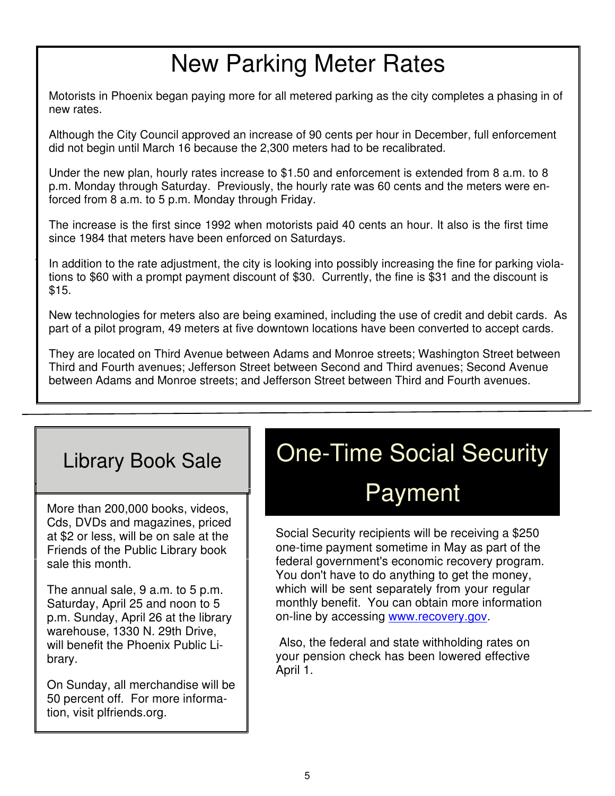## New Parking Meter Rates

Motorists in Phoenix began paying more for all metered parking as the city completes a phasing in of new rates.

Although the City Council approved an increase of 90 cents per hour in December, full enforcement did not begin until March 16 because the 2,300 meters had to be recalibrated.

Under the new plan, hourly rates increase to \$1.50 and enforcement is extended from 8 a.m. to 8 p.m. Monday through Saturday. Previously, the hourly rate was 60 cents and the meters were enforced from 8 a.m. to 5 p.m. Monday through Friday.

The increase is the first since 1992 when motorists paid 40 cents an hour. It also is the first time since 1984 that meters have been enforced on Saturdays.

In addition to the rate adjustment, the city is looking into possibly increasing the fine for parking violations to \$60 with a prompt payment discount of \$30. Currently, the fine is \$31 and the discount is \$15.

New technologies for meters also are being examined, including the use of credit and debit cards. As part of a pilot program, 49 meters at five downtown locations have been converted to accept cards.

They are located on Third Avenue between Adams and Monroe streets; Washington Street between Third and Fourth avenues; Jefferson Street between Second and Third avenues; Second Avenue between Adams and Monroe streets; and Jefferson Street between Third and Fourth avenues.

### Library Book Sale

More than 200,000 books, videos, Cds, DVDs and magazines, priced at \$2 or less, will be on sale at the Friends of the Public Library book sale this month.

The annual sale, 9 a.m. to 5 p.m. Saturday, April 25 and noon to 5 p.m. Sunday, April 26 at the library warehouse, 1330 N. 29th Drive, will benefit the Phoenix Public Library.

On Sunday, all merchandise will be 50 percent off. For more information, visit plfriends.org.

## One-Time Social Security Payment

Social Security recipients will be receiving a \$250 one-time payment sometime in May as part of the federal government's economic recovery program. You don't have to do anything to get the money, which will be sent separately from your regular monthly benefit. You can obtain more information on-line by accessing www.recovery.gov.

 Also, the federal and state withholding rates on your pension check has been lowered effective April 1.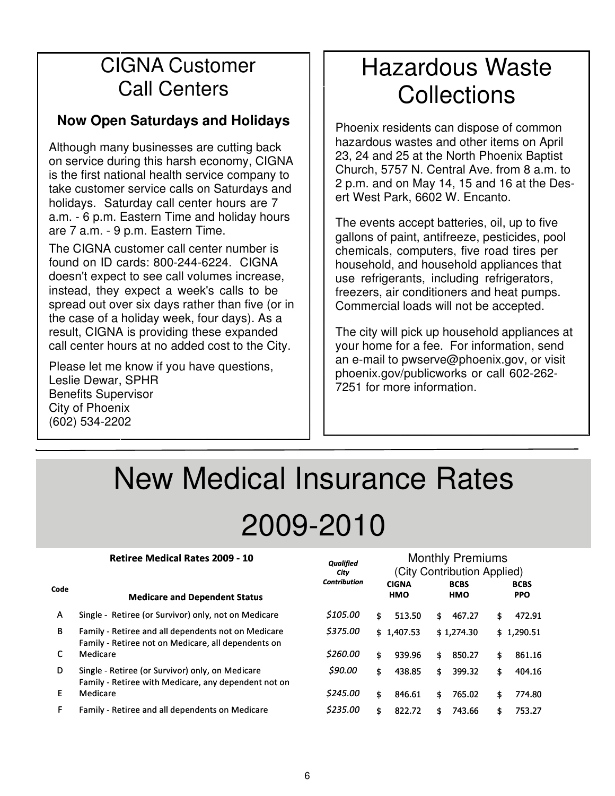### CIGNA Customer Call Centers

### **Now Open Saturdays and Holidays**

Although many businesses are cutting back on service during this harsh economy, CIGNA is the first national health service company to take customer service calls on Saturdays and holidays. Saturday call center hours are 7 a.m. - 6 p.m. Eastern Time and holiday hours are 7 a.m. - 9 p.m. Eastern Time.

The CIGNA customer call center number is found on ID cards: 800-244-6224. CIGNA doesn't expect to see call volumes increase, instead, they expect a week's calls to be spread out over six days rather than five (or in the case of a holiday week, four days). As a result, CIGNA is providing these expanded call center hours at no added cost to the City.

Please let me know if you have questions, Leslie Dewar, SPHR Benefits Supervisor City of Phoenix (602) 534-2202

## Hazardous Waste **Collections**

Phoenix residents can dispose of common hazardous wastes and other items on April 23, 24 and 25 at the North Phoenix Baptist Church, 5757 N. Central Ave. from 8 a.m. to 2 p.m. and on May 14, 15 and 16 at the Desert West Park, 6602 W. Encanto.

The events accept batteries, oil, up to five gallons of paint, antifreeze, pesticides, pool chemicals, computers, five road tires per household, and household appliances that use refrigerants, including refrigerators, freezers, air conditioners and heat pumps. Commercial loads will not be accepted.

The city will pick up household appliances at your home for a fee. For information, send an e-mail to pwserve@phoenix.gov, or visit phoenix.gov/publicworks or call 602-262- 7251 for more information.

Monthly Premiums

## New Medical Insurance Rates 2009-2010

Qualified

#### 2009-10 Monthly Premium Rates Retiree Medical Rates 2009 - 10

|      |                                                                                                            | uwwww<br>City       |    | (City Contribution Applied) |     |                           |    |                           |  |  |
|------|------------------------------------------------------------------------------------------------------------|---------------------|----|-----------------------------|-----|---------------------------|----|---------------------------|--|--|
| Code | <b>Medicare and Dependent Status</b>                                                                       | <b>Contribution</b> |    | <b>CIGNA</b><br><b>HMO</b>  |     | <b>BCBS</b><br><b>HMO</b> |    | <b>BCBS</b><br><b>PPO</b> |  |  |
| A    | Single - Retiree (or Survivor) only, not on Medicare                                                       | \$105.00            | \$ | 513.50                      | \$. | 467.27                    | \$ | 472.91                    |  |  |
| B    | Family - Retiree and all dependents not on Medicare<br>Family - Retiree not on Medicare, all dependents on | \$375.00            |    | \$1,407.53                  |     | \$1,274.30                |    | \$1,290.51                |  |  |
| C    | Medicare                                                                                                   | \$260.00            | \$ | 939.96                      | \$  | 850.27                    | \$ | 861.16                    |  |  |
| D    | Single - Retiree (or Survivor) only, on Medicare<br>Family - Retiree with Medicare, any dependent not on   | \$90.00             | \$ | 438.85                      | \$. | 399.32                    | \$ | 404.16                    |  |  |
| F    | Medicare                                                                                                   | \$245.00            | \$ | 846.61                      | \$. | 765.02                    | \$ | 774.80                    |  |  |
| F    | Family - Retiree and all dependents on Medicare                                                            | \$235.00            | \$ | 822.72                      | \$. | 743.66                    | \$ | 753.27                    |  |  |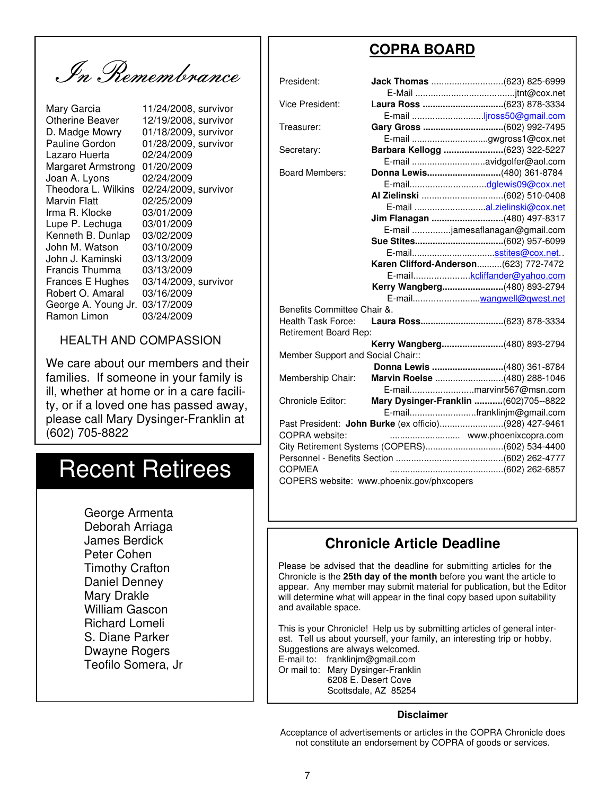In Remembrance

Otherine Beaver 12/19/2008, survivor<br>D. Madge Mowry 01/18/2009, survivor Pauline Gordon 01/28/2009, survivor Lazaro Huerta 02/24/2009 Margaret Armstrong 01/20/2009 Joan A. Lyons 02/24/2009 Theodora L. Wilkins 02/24/2009, survivor Marvin Flatt 02/25/2009 Irma R. Klocke 03/01/2009 Lupe P. Lechuga 03/01/2009 Kenneth B. Dunlap 03/02/2009 John M. Watson 03/10/2009 John J. Kaminski 03/13/2009 Francis Thumma 03/13/2009 Frances E Hughes 03/14/2009, survivor Robert O. Amaral 03/16/2009 George A. Young Jr. 03/17/2009 Ramon Limon 03/24/2009

Mary Garcia 11/24/2008, survivor<br>Otherine Beaver 12/19/2008, survivor 01/18/2009, survivor

#### HEALTH AND COMPASSION

We care about our members and their families. If someone in your family is ill, whether at home or in a care facility, or if a loved one has passed away, please call Mary Dysinger-Franklin at (602) 705-8822

## Recent Retirees

 George Armenta Deborah Arriaga James Berdick Peter Cohen Timothy Crafton Daniel Denney Mary Drakle William Gascon Richard Lomeli S. Diane Parker Dwayne Rogers Teofilo Somera, Jr

### **COPRA BOARD**

| President:                                |  |                                                       |  |  |
|-------------------------------------------|--|-------------------------------------------------------|--|--|
|                                           |  |                                                       |  |  |
| <b>Vice President:</b>                    |  | Laura Ross (623) 878-3334                             |  |  |
|                                           |  | E-mail jross50@gmail.com                              |  |  |
| Treasurer:                                |  | Gary Gross (602) 992-7495                             |  |  |
|                                           |  | E-mail gwgross1@cox.net                               |  |  |
| Secretary:                                |  | Barbara Kellogg (623) 322-5227                        |  |  |
|                                           |  |                                                       |  |  |
| <b>Board Members:</b>                     |  | Donna Lewis(480) 361-8784                             |  |  |
|                                           |  |                                                       |  |  |
|                                           |  |                                                       |  |  |
|                                           |  | E-mail al.zielinski@cox.net                           |  |  |
|                                           |  | Jim Flanagan (480) 497-8317                           |  |  |
|                                           |  | E-mail jamesaflanagan@gmail.com                       |  |  |
|                                           |  |                                                       |  |  |
|                                           |  |                                                       |  |  |
|                                           |  | Karen Clifford-Anderson (623) 772-7472                |  |  |
|                                           |  | E-mailkcliffander@yahoo.com                           |  |  |
|                                           |  | Kerry Wangberg(480) 893-2794                          |  |  |
|                                           |  |                                                       |  |  |
| Benefits Committee Chair &.               |  |                                                       |  |  |
| <b>Health Task Force:</b>                 |  |                                                       |  |  |
| Retirement Board Rep:                     |  |                                                       |  |  |
|                                           |  | Kerry Wangberg(480) 893-2794                          |  |  |
| Member Support and Social Chair::         |  |                                                       |  |  |
|                                           |  | Donna Lewis (480) 361-8784                            |  |  |
| Membership Chair:                         |  | Marvin Roelse (480) 288-1046                          |  |  |
|                                           |  | E-mailmarvinr567@msn.com                              |  |  |
| Chronicle Editor:                         |  | Mary Dysinger-Franklin  (602)705--8822                |  |  |
|                                           |  | E-mailfranklinjm@gmail.com                            |  |  |
|                                           |  | Past President: John Burke (ex officio)(928) 427-9461 |  |  |
| COPRA website:                            |  |                                                       |  |  |
|                                           |  | City Retirement Systems (COPERS)(602) 534-4400        |  |  |
|                                           |  |                                                       |  |  |
| <b>COPMEA</b>                             |  |                                                       |  |  |
| COPERS website: www.phoenix.gov/phxcopers |  |                                                       |  |  |

#### **Chronicle Article Deadline**

Please be advised that the deadline for submitting articles for the Chronicle is the **25th day of the month** before you want the article to appear. Any member may submit material for publication, but the Editor will determine what will appear in the final copy based upon suitability and available space.

This is your Chronicle! Help us by submitting articles of general interest. Tell us about yourself, your family, an interesting trip or hobby. Suggestions are always welcomed. E-mail to: franklinjm@gmail.com

Or mail to: Mary Dysinger-Franklin 6208 E. Desert Cove Scottsdale, AZ 85254

#### **Disclaimer**

Acceptance of advertisements or articles in the COPRA Chronicle does not constitute an endorsement by COPRA of goods or services.